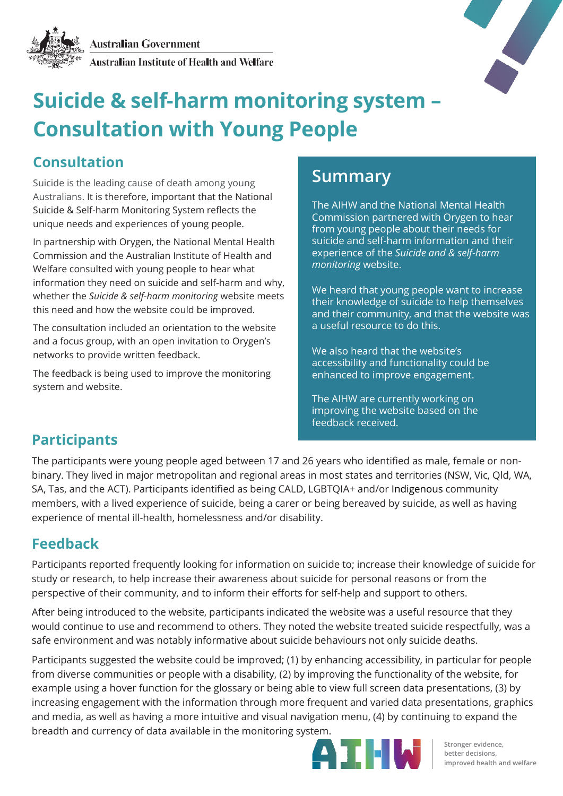



# **Suicide & self-harm monitoring system – Consultation with Young People**

### **Consultation**

Suicide is the leading cause of death among young Australians. It is therefore, important that the National Suicide & Self-harm Monitoring System reflects the unique needs and experiences of young people.

In partnership with Orygen, the National Mental Health Commission and the Australian Institute of Health and Welfare consulted with young people to hear what information they need on suicide and self-harm and why, whether the *Suicide & self-harm monitoring* website meets this need and how the website could be improved.

The consultation included an orientation to the website and a focus group, with an open invitation to Orygen's networks to provide written feedback.

The feedback is being used to improve the monitoring system and website.

## **Summary**

The AIHW and the National Mental Health Commission partnered with Orygen to hear from young people about their needs for suicide and self-harm information and their experience of the *Suicide and & self-harm monitoring* website.

We heard that young people want to increase their knowledge of suicide to help themselves and their community, and that the website was a useful resource to do this.

We also heard that the website's accessibility and functionality could be enhanced to improve engagement.

The AIHW are currently working on improving the website based on the feedback received.

#### **Participants**

The participants were young people aged between 17 and 26 years who identified as male, female or nonbinary. They lived in major metropolitan and regional areas in most states and territories (NSW, Vic, Qld, WA, SA, Tas, and the ACT). Participants identified as being CALD, LGBTQIA+ and/or Indigenous community members, with a lived experience of suicide, being a carer or being bereaved by suicide, as well as having experience of mental ill-health, homelessness and/or disability.

#### **Feedback**

Participants reported frequently looking for information on suicide to; increase their knowledge of suicide for study or research, to help increase their awareness about suicide for personal reasons or from the perspective of their community, and to inform their efforts for self-help and support to others.

After being introduced to the website, participants indicated the website was a useful resource that they would continue to use and recommend to others. They noted the website treated suicide respectfully, was a safe environment and was notably informative about suicide behaviours not only suicide deaths.

Participants suggested the website could be improved; (1) by enhancing accessibility, in particular for people from diverse communities or people with a disability, (2) by improving the functionality of the website, for example using a hover function for the glossary or being able to view full screen data presentations, (3) by increasing engagement with the information through more frequent and varied data presentations, graphics and media, as well as having a more intuitive and visual navigation menu, (4) by continuing to expand the breadth and currency of data available in the monitoring system.



**Stronger evidence, better decisions, improved health and welfare**